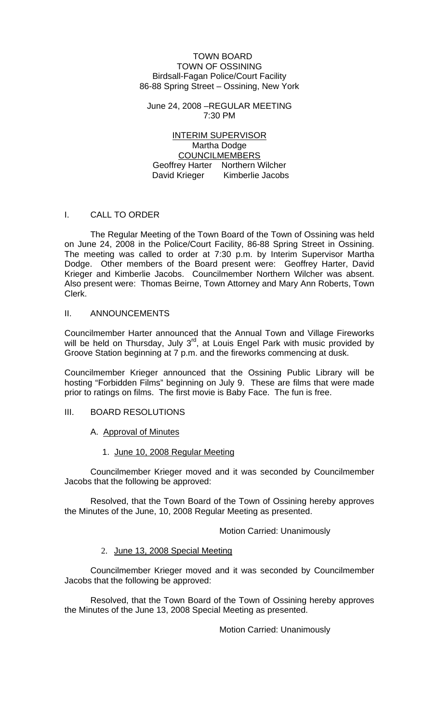### TOWN BOARD TOWN OF OSSINING Birdsall-Fagan Police/Court Facility 86-88 Spring Street – Ossining, New York

June 24, 2008 –REGULAR MEETING 7:30 PM

INTERIM SUPERVISOR Martha Dodge COUNCILMEMBERS Geoffrey Harter Northern Wilcher David Krieger Kimberlie Jacobs

### I. CALL TO ORDER

 The Regular Meeting of the Town Board of the Town of Ossining was held on June 24, 2008 in the Police/Court Facility, 86-88 Spring Street in Ossining. The meeting was called to order at 7:30 p.m. by Interim Supervisor Martha Dodge. Other members of the Board present were: Geoffrey Harter, David Krieger and Kimberlie Jacobs. Councilmember Northern Wilcher was absent. Also present were: Thomas Beirne, Town Attorney and Mary Ann Roberts, Town Clerk.

### II. ANNOUNCEMENTS

Councilmember Harter announced that the Annual Town and Village Fireworks will be held on Thursday, July 3<sup>rd</sup>, at Louis Engel Park with music provided by Groove Station beginning at 7 p.m. and the fireworks commencing at dusk.

Councilmember Krieger announced that the Ossining Public Library will be hosting "Forbidden Films" beginning on July 9. These are films that were made prior to ratings on films. The first movie is Baby Face. The fun is free.

# III. BOARD RESOLUTIONS

# A. Approval of Minutes

### 1. June 10, 2008 Regular Meeting

 Councilmember Krieger moved and it was seconded by Councilmember Jacobs that the following be approved:

 Resolved, that the Town Board of the Town of Ossining hereby approves the Minutes of the June, 10, 2008 Regular Meeting as presented.

Motion Carried: Unanimously

### 2. June 13, 2008 Special Meeting

Councilmember Krieger moved and it was seconded by Councilmember Jacobs that the following be approved:

Resolved, that the Town Board of the Town of Ossining hereby approves the Minutes of the June 13, 2008 Special Meeting as presented.

Motion Carried: Unanimously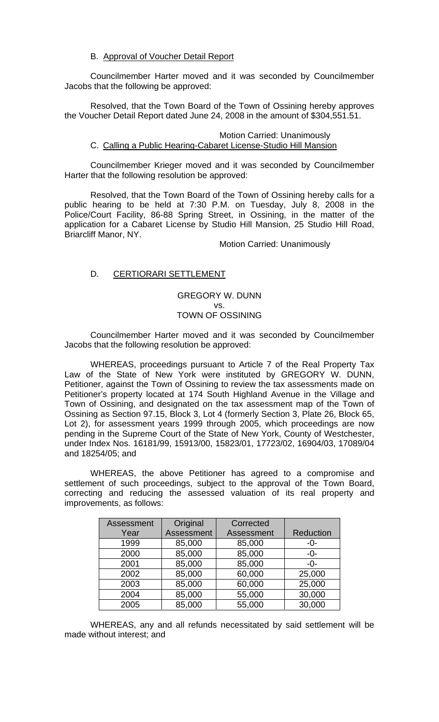### B. Approval of Voucher Detail Report

 Councilmember Harter moved and it was seconded by Councilmember Jacobs that the following be approved:

 Resolved, that the Town Board of the Town of Ossining hereby approves the Voucher Detail Report dated June 24, 2008 in the amount of \$304,551.51.

### Motion Carried: Unanimously C. Calling a Public Hearing-Cabaret License-Studio Hill Mansion

 Councilmember Krieger moved and it was seconded by Councilmember Harter that the following resolution be approved:

 Resolved, that the Town Board of the Town of Ossining hereby calls for a public hearing to be held at 7:30 P.M. on Tuesday, July 8, 2008 in the Police/Court Facility, 86-88 Spring Street, in Ossining, in the matter of the application for a Cabaret License by Studio Hill Mansion, 25 Studio Hill Road, Briarcliff Manor, NY.

Motion Carried: Unanimously

# D. CERTIORARI SETTLEMENT

## GREGORY W. DUNN vs. TOWN OF OSSINING

 Councilmember Harter moved and it was seconded by Councilmember Jacobs that the following resolution be approved:

 WHEREAS, proceedings pursuant to Article 7 of the Real Property Tax Law of the State of New York were instituted by GREGORY W. DUNN, Petitioner, against the Town of Ossining to review the tax assessments made on Petitioner's property located at 174 South Highland Avenue in the Village and Town of Ossining, and designated on the tax assessment map of the Town of Ossining as Section 97.15, Block 3, Lot 4 (formerly Section 3, Plate 26, Block 65, Lot 2), for assessment years 1999 through 2005, which proceedings are now pending in the Supreme Court of the State of New York, County of Westchester, under Index Nos. 16181/99, 15913/00, 15823/01, 17723/02, 16904/03, 17089/04 and 18254/05; and

 WHEREAS, the above Petitioner has agreed to a compromise and settlement of such proceedings, subject to the approval of the Town Board, correcting and reducing the assessed valuation of its real property and improvements, as follows:

| Assessment | Original   | Corrected  |                  |
|------------|------------|------------|------------------|
| Year       | Assessment | Assessment | <b>Reduction</b> |
| 1999       | 85,000     | 85,000     | -0-              |
| 2000       | 85,000     | 85,000     | -0-              |
| 2001       | 85,000     | 85,000     | -0-              |
| 2002       | 85,000     | 60,000     | 25,000           |
| 2003       | 85,000     | 60,000     | 25,000           |
| 2004       | 85,000     | 55,000     | 30,000           |
| 2005       | 85,000     | 55,000     | 30,000           |

WHEREAS, any and all refunds necessitated by said settlement will be made without interest; and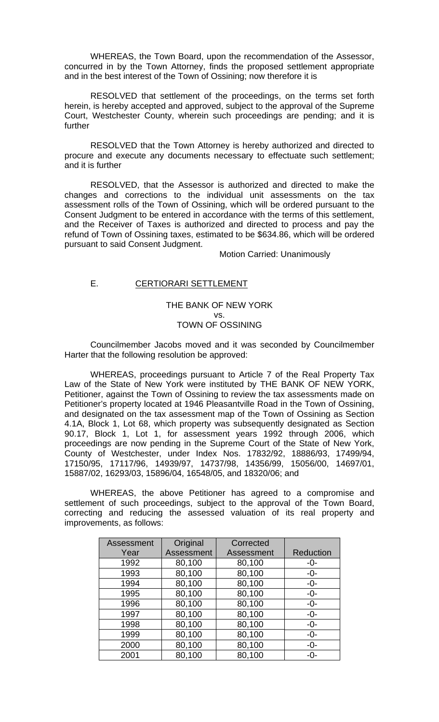WHEREAS, the Town Board, upon the recommendation of the Assessor, concurred in by the Town Attorney, finds the proposed settlement appropriate and in the best interest of the Town of Ossining; now therefore it is

 RESOLVED that settlement of the proceedings, on the terms set forth herein, is hereby accepted and approved, subject to the approval of the Supreme Court, Westchester County, wherein such proceedings are pending; and it is further

 RESOLVED that the Town Attorney is hereby authorized and directed to procure and execute any documents necessary to effectuate such settlement; and it is further

 RESOLVED, that the Assessor is authorized and directed to make the changes and corrections to the individual unit assessments on the tax assessment rolls of the Town of Ossining, which will be ordered pursuant to the Consent Judgment to be entered in accordance with the terms of this settlement, and the Receiver of Taxes is authorized and directed to process and pay the refund of Town of Ossining taxes, estimated to be \$634.86, which will be ordered pursuant to said Consent Judgment.

Motion Carried: Unanimously

### E. CERTIORARI SETTLEMENT

### THE BANK OF NEW YORK vs. TOWN OF OSSINING

 Councilmember Jacobs moved and it was seconded by Councilmember Harter that the following resolution be approved:

 WHEREAS, proceedings pursuant to Article 7 of the Real Property Tax Law of the State of New York were instituted by THE BANK OF NEW YORK, Petitioner, against the Town of Ossining to review the tax assessments made on Petitioner's property located at 1946 Pleasantville Road in the Town of Ossining, and designated on the tax assessment map of the Town of Ossining as Section 4.1A, Block 1, Lot 68, which property was subsequently designated as Section 90.17, Block 1, Lot 1, for assessment years 1992 through 2006, which proceedings are now pending in the Supreme Court of the State of New York, County of Westchester, under Index Nos. 17832/92, 18886/93, 17499/94, 17150/95, 17117/96, 14939/97, 14737/98, 14356/99, 15056/00, 14697/01, 15887/02, 16293/03, 15896/04, 16548/05, and 18320/06; and

 WHEREAS, the above Petitioner has agreed to a compromise and settlement of such proceedings, subject to the approval of the Town Board, correcting and reducing the assessed valuation of its real property and improvements, as follows:

| Assessment | Original          | Corrected  |                  |
|------------|-------------------|------------|------------------|
| Year       | <b>Assessment</b> | Assessment | <b>Reduction</b> |
| 1992       | 80,100            | 80,100     | -0-              |
| 1993       | 80,100            | 80,100     | $-0-$            |
| 1994       | 80,100            | 80,100     | $-0-$            |
| 1995       | 80,100            | 80,100     | -0-              |
| 1996       | 80,100            | 80,100     | $-0-$            |
| 1997       | 80,100            | 80,100     | $-0-$            |
| 1998       | 80,100            | 80,100     | $-0-$            |
| 1999       | 80,100            | 80,100     | -0-              |
| 2000       | 80,100            | 80,100     | $-0-$            |
| 2001       | 80,100            | 80,100     | -0-              |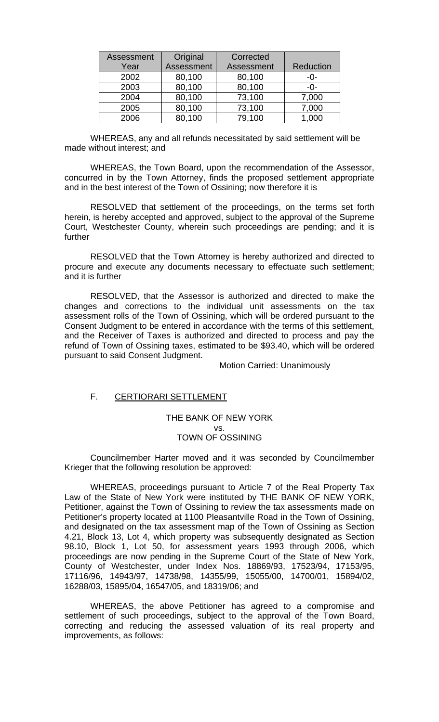| Assessment | Original   | Corrected  |           |
|------------|------------|------------|-----------|
| Year       | Assessment | Assessment | Reduction |
| 2002       | 80,100     | 80,100     | -0-       |
| 2003       | 80,100     | 80,100     | -0-       |
| 2004       | 80,100     | 73,100     | 7,000     |
| 2005       | 80,100     | 73,100     | 7,000     |
| 2006       | 80,100     | 79,100     | 000,1     |

 WHEREAS, any and all refunds necessitated by said settlement will be made without interest; and

 WHEREAS, the Town Board, upon the recommendation of the Assessor, concurred in by the Town Attorney, finds the proposed settlement appropriate and in the best interest of the Town of Ossining; now therefore it is

 RESOLVED that settlement of the proceedings, on the terms set forth herein, is hereby accepted and approved, subject to the approval of the Supreme Court, Westchester County, wherein such proceedings are pending; and it is further

 RESOLVED that the Town Attorney is hereby authorized and directed to procure and execute any documents necessary to effectuate such settlement; and it is further

 RESOLVED, that the Assessor is authorized and directed to make the changes and corrections to the individual unit assessments on the tax assessment rolls of the Town of Ossining, which will be ordered pursuant to the Consent Judgment to be entered in accordance with the terms of this settlement, and the Receiver of Taxes is authorized and directed to process and pay the refund of Town of Ossining taxes, estimated to be \$93.40, which will be ordered pursuant to said Consent Judgment.

Motion Carried: Unanimously

### F. CERTIORARI SETTLEMENT

THE BANK OF NEW YORK vs. TOWN OF OSSINING

 Councilmember Harter moved and it was seconded by Councilmember Krieger that the following resolution be approved:

 WHEREAS, proceedings pursuant to Article 7 of the Real Property Tax Law of the State of New York were instituted by THE BANK OF NEW YORK, Petitioner, against the Town of Ossining to review the tax assessments made on Petitioner's property located at 1100 Pleasantville Road in the Town of Ossining, and designated on the tax assessment map of the Town of Ossining as Section 4.21, Block 13, Lot 4, which property was subsequently designated as Section 98.10, Block 1, Lot 50, for assessment years 1993 through 2006, which proceedings are now pending in the Supreme Court of the State of New York, County of Westchester, under Index Nos. 18869/93, 17523/94, 17153/95, 17116/96, 14943/97, 14738/98, 14355/99, 15055/00, 14700/01, 15894/02, 16288/03, 15895/04, 16547/05, and 18319/06; and

 WHEREAS, the above Petitioner has agreed to a compromise and settlement of such proceedings, subject to the approval of the Town Board, correcting and reducing the assessed valuation of its real property and improvements, as follows: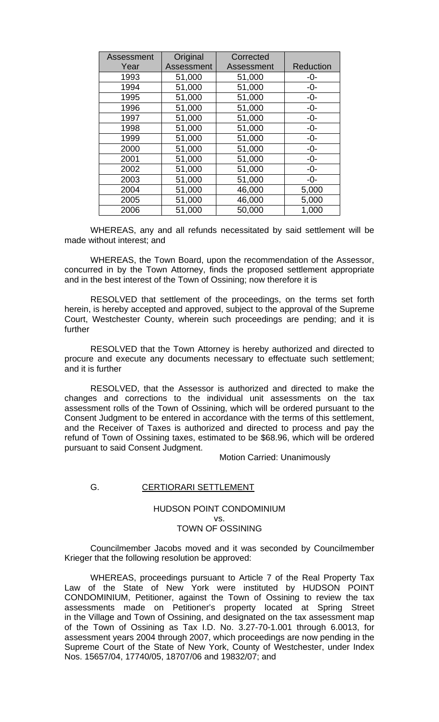| Assessment | Original   | Corrected  |           |
|------------|------------|------------|-----------|
| Year       | Assessment | Assessment | Reduction |
| 1993       | 51,000     | 51,000     | -0-       |
| 1994       | 51,000     | 51,000     | $-0-$     |
| 1995       | 51,000     | 51,000     | $-0-$     |
| 1996       | 51,000     | 51,000     | $-0-$     |
| 1997       | 51,000     | 51,000     | $-0-$     |
| 1998       | 51,000     | 51,000     | $-0-$     |
| 1999       | 51,000     | 51,000     | $-0-$     |
| 2000       | 51,000     | 51,000     | $-0-$     |
| 2001       | 51,000     | 51,000     | $-0-$     |
| 2002       | 51,000     | 51,000     | $-0-$     |
| 2003       | 51,000     | 51,000     | $-0-$     |
| 2004       | 51,000     | 46,000     | 5,000     |
| 2005       | 51,000     | 46,000     | 5,000     |
| 2006       | 51,000     | 50,000     | 1,000     |

 WHEREAS, any and all refunds necessitated by said settlement will be made without interest; and

 WHEREAS, the Town Board, upon the recommendation of the Assessor, concurred in by the Town Attorney, finds the proposed settlement appropriate and in the best interest of the Town of Ossining; now therefore it is

 RESOLVED that settlement of the proceedings, on the terms set forth herein, is hereby accepted and approved, subject to the approval of the Supreme Court, Westchester County, wherein such proceedings are pending; and it is further

 RESOLVED that the Town Attorney is hereby authorized and directed to procure and execute any documents necessary to effectuate such settlement; and it is further

 RESOLVED, that the Assessor is authorized and directed to make the changes and corrections to the individual unit assessments on the tax assessment rolls of the Town of Ossining, which will be ordered pursuant to the Consent Judgment to be entered in accordance with the terms of this settlement, and the Receiver of Taxes is authorized and directed to process and pay the refund of Town of Ossining taxes, estimated to be \$68.96, which will be ordered pursuant to said Consent Judgment.

Motion Carried: Unanimously

#### G. **CERTIORARI SETTLEMENT**

HUDSON POINT CONDOMINIUM vs. TOWN OF OSSINING

 Councilmember Jacobs moved and it was seconded by Councilmember Krieger that the following resolution be approved:

 WHEREAS, proceedings pursuant to Article 7 of the Real Property Tax Law of the State of New York were instituted by HUDSON POINT CONDOMINIUM, Petitioner, against the Town of Ossining to review the tax assessments made on Petitioner's property located at Spring Street in the Village and Town of Ossining, and designated on the tax assessment map of the Town of Ossining as Tax I.D. No. 3.27-70-1.001 through 6.0013, for assessment years 2004 through 2007, which proceedings are now pending in the Supreme Court of the State of New York, County of Westchester, under Index Nos. 15657/04, 17740/05, 18707/06 and 19832/07; and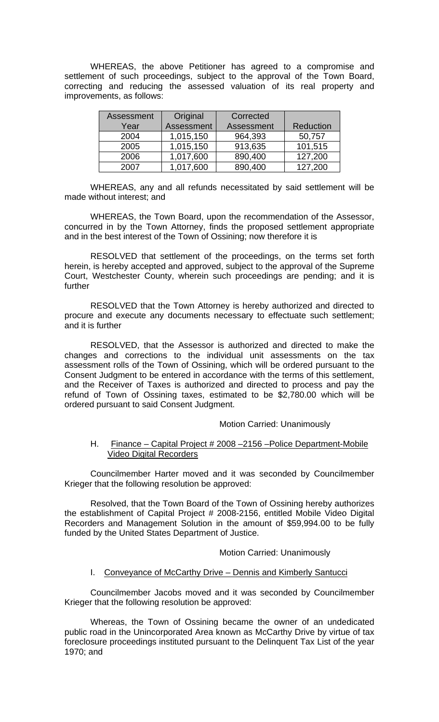WHEREAS, the above Petitioner has agreed to a compromise and settlement of such proceedings, subject to the approval of the Town Board, correcting and reducing the assessed valuation of its real property and improvements, as follows:

| <b>Assessment</b> | Original   | Corrected  |           |
|-------------------|------------|------------|-----------|
| Year              | Assessment | Assessment | Reduction |
| 2004              | 1,015,150  | 964,393    | 50,757    |
| 2005              | 1,015,150  | 913,635    | 101,515   |
| 2006              | 1,017,600  | 890,400    | 127,200   |
| 2007              | 1,017,600  | 890,400    | 127,200   |

 WHEREAS, any and all refunds necessitated by said settlement will be made without interest; and

 WHEREAS, the Town Board, upon the recommendation of the Assessor, concurred in by the Town Attorney, finds the proposed settlement appropriate and in the best interest of the Town of Ossining; now therefore it is

RESOLVED that settlement of the proceedings, on the terms set forth herein, is hereby accepted and approved, subject to the approval of the Supreme Court, Westchester County, wherein such proceedings are pending; and it is further

 RESOLVED that the Town Attorney is hereby authorized and directed to procure and execute any documents necessary to effectuate such settlement; and it is further

 RESOLVED, that the Assessor is authorized and directed to make the changes and corrections to the individual unit assessments on the tax assessment rolls of the Town of Ossining, which will be ordered pursuant to the Consent Judgment to be entered in accordance with the terms of this settlement, and the Receiver of Taxes is authorized and directed to process and pay the refund of Town of Ossining taxes, estimated to be \$2,780.00 which will be ordered pursuant to said Consent Judgment.

### Motion Carried: Unanimously

#### H. Finance – Capital Project # 2008 –2156 –Police Department-Mobile Video Digital Recorders

 Councilmember Harter moved and it was seconded by Councilmember Krieger that the following resolution be approved:

Resolved, that the Town Board of the Town of Ossining hereby authorizes the establishment of Capital Project # 2008-2156, entitled Mobile Video Digital Recorders and Management Solution in the amount of \$59,994.00 to be fully funded by the United States Department of Justice.

Motion Carried: Unanimously

### I. Conveyance of McCarthy Drive – Dennis and Kimberly Santucci

Councilmember Jacobs moved and it was seconded by Councilmember Krieger that the following resolution be approved:

Whereas, the Town of Ossining became the owner of an undedicated public road in the Unincorporated Area known as McCarthy Drive by virtue of tax foreclosure proceedings instituted pursuant to the Delinquent Tax List of the year 1970; and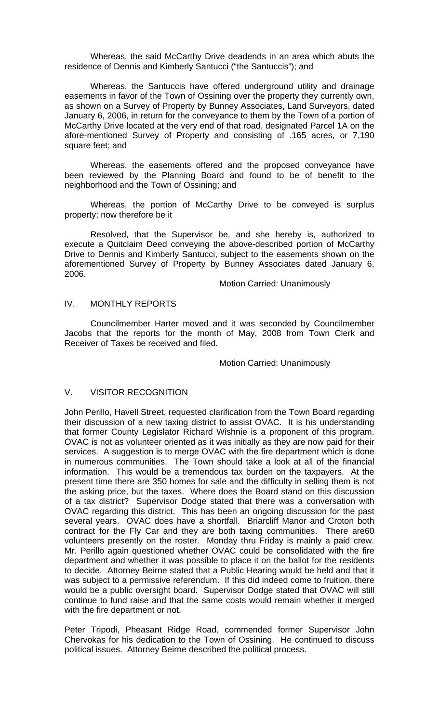Whereas, the said McCarthy Drive deadends in an area which abuts the residence of Dennis and Kimberly Santucci ("the Santuccis"); and

 Whereas, the Santuccis have offered underground utility and drainage easements in favor of the Town of Ossining over the property they currently own, as shown on a Survey of Property by Bunney Associates, Land Surveyors, dated January 6, 2006, in return for the conveyance to them by the Town of a portion of McCarthy Drive located at the very end of that road, designated Parcel 1A on the afore-mentioned Survey of Property and consisting of .165 acres, or 7,190 square feet; and

 Whereas, the easements offered and the proposed conveyance have been reviewed by the Planning Board and found to be of benefit to the neighborhood and the Town of Ossining; and

 Whereas, the portion of McCarthy Drive to be conveyed is surplus property; now therefore be it

 Resolved, that the Supervisor be, and she hereby is, authorized to execute a Quitclaim Deed conveying the above-described portion of McCarthy Drive to Dennis and Kimberly Santucci, subject to the easements shown on the aforementioned Survey of Property by Bunney Associates dated January 6, 2006.

Motion Carried: Unanimously

### IV. MONTHLY REPORTS

 Councilmember Harter moved and it was seconded by Councilmember Jacobs that the reports for the month of May, 2008 from Town Clerk and Receiver of Taxes be received and filed.

#### Motion Carried: Unanimously

### V. VISITOR RECOGNITION

John Perillo, Havell Street, requested clarification from the Town Board regarding their discussion of a new taxing district to assist OVAC. It is his understanding that former County Legislator Richard Wishnie is a proponent of this program. OVAC is not as volunteer oriented as it was initially as they are now paid for their services. A suggestion is to merge OVAC with the fire department which is done in numerous communities. The Town should take a look at all of the financial information. This would be a tremendous tax burden on the taxpayers. At the present time there are 350 homes for sale and the difficulty in selling them is not the asking price, but the taxes. Where does the Board stand on this discussion of a tax district? Supervisor Dodge stated that there was a conversation with OVAC regarding this district. This has been an ongoing discussion for the past several years. OVAC does have a shortfall. Briarcliff Manor and Croton both contract for the Fly Car and they are both taxing communities. There are60 volunteers presently on the roster. Monday thru Friday is mainly a paid crew. Mr. Perillo again questioned whether OVAC could be consolidated with the fire department and whether it was possible to place it on the ballot for the residents to decide. Attorney Beirne stated that a Public Hearing would be held and that it was subject to a permissive referendum. If this did indeed come to fruition, there would be a public oversight board. Supervisor Dodge stated that OVAC will still continue to fund raise and that the same costs would remain whether it merged with the fire department or not.

Peter Tripodi, Pheasant Ridge Road, commended former Supervisor John Chervokas for his dedication to the Town of Ossining. He continued to discuss political issues. Attorney Beirne described the political process.